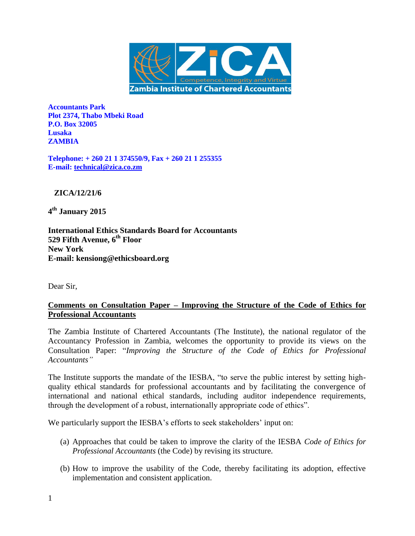

**Accountants Park Plot 2374, Thabo Mbeki Road P.O. Box 32005 Lusaka ZAMBIA**

**Telephone: + 260 21 1 374550/9, Fax + 260 21 1 255355 E-mail: [technical@zica.co.zm](mailto:technical@zica.co.zm)**

 **ZICA/12/21/6**

**4 th January 2015**

**International Ethics Standards Board for Accountants 529 Fifth Avenue, 6th Floor New York E-mail: kensiong@ethicsboard.org**

Dear Sir,

# **Comments on Consultation Paper – Improving the Structure of the Code of Ethics for Professional Accountants**

The Zambia Institute of Chartered Accountants (The Institute), the national regulator of the Accountancy Profession in Zambia, welcomes the opportunity to provide its views on the Consultation Paper: "*Improving the Structure of the Code of Ethics for Professional Accountants"*

The Institute supports the mandate of the IESBA, "to serve the public interest by setting highquality ethical standards for professional accountants and by facilitating the convergence of international and national ethical standards, including auditor independence requirements, through the development of a robust, internationally appropriate code of ethics".

We particularly support the IESBA's efforts to seek stakeholders' input on:

- (a) Approaches that could be taken to improve the clarity of the IESBA *Code of Ethics for Professional Accountants* (the Code) by revising its structure.
- (b) How to improve the usability of the Code, thereby facilitating its adoption, effective implementation and consistent application.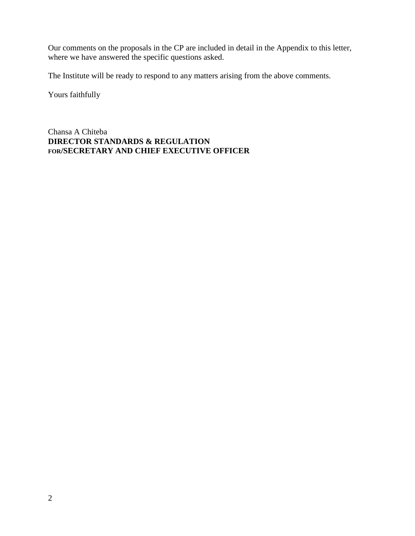Our comments on the proposals in the CP are included in detail in the Appendix to this letter, where we have answered the specific questions asked.

The Institute will be ready to respond to any matters arising from the above comments.

Yours faithfully

Chansa A Chiteba **DIRECTOR STANDARDS & REGULATION FOR/SECRETARY AND CHIEF EXECUTIVE OFFICER**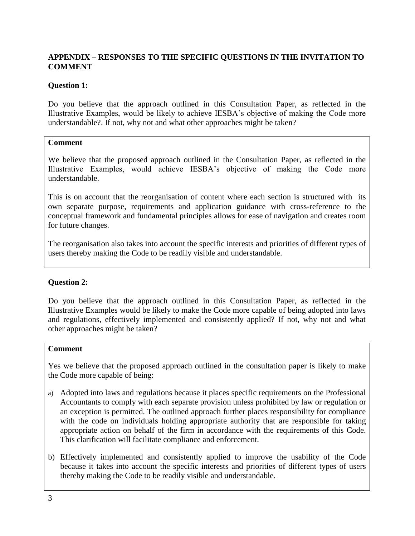# **APPENDIX – RESPONSES TO THE SPECIFIC QUESTIONS IN THE INVITATION TO COMMENT**

## **Question 1:**

Do you believe that the approach outlined in this Consultation Paper, as reflected in the Illustrative Examples, would be likely to achieve IESBA's objective of making the Code more understandable?. If not, why not and what other approaches might be taken?

### **Comment**

We believe that the proposed approach outlined in the Consultation Paper, as reflected in the Illustrative Examples, would achieve IESBA's objective of making the Code more understandable.

This is on account that the reorganisation of content where each section is structured with its own separate purpose, requirements and application guidance with cross-reference to the conceptual framework and fundamental principles allows for ease of navigation and creates room for future changes.

The reorganisation also takes into account the specific interests and priorities of different types of users thereby making the Code to be readily visible and understandable.

## **Question 2:**

Do you believe that the approach outlined in this Consultation Paper, as reflected in the Illustrative Examples would be likely to make the Code more capable of being adopted into laws and regulations, effectively implemented and consistently applied? If not, why not and what other approaches might be taken?

#### **Comment**

Yes we believe that the proposed approach outlined in the consultation paper is likely to make the Code more capable of being:

- a) Adopted into laws and regulations because it places specific requirements on the Professional Accountants to comply with each separate provision unless prohibited by law or regulation or an exception is permitted. The outlined approach further places responsibility for compliance with the code on individuals holding appropriate authority that are responsible for taking appropriate action on behalf of the firm in accordance with the requirements of this Code. This clarification will facilitate compliance and enforcement.
- b) Effectively implemented and consistently applied to improve the usability of the Code because it takes into account the specific interests and priorities of different types of users thereby making the Code to be readily visible and understandable.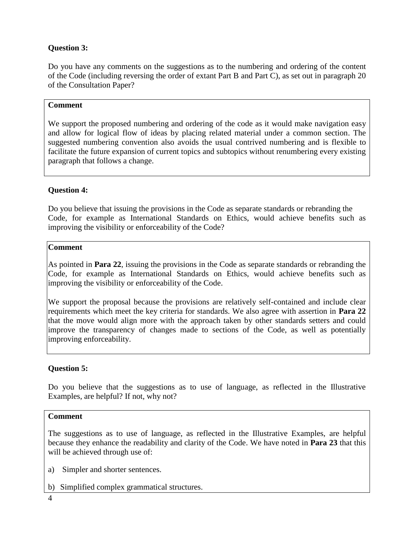# **Question 3:**

Do you have any comments on the suggestions as to the numbering and ordering of the content of the Code (including reversing the order of extant Part B and Part C), as set out in paragraph 20 of the Consultation Paper?

## **Comment**

We support the proposed numbering and ordering of the code as it would make navigation easy and allow for logical flow of ideas by placing related material under a common section. The suggested numbering convention also avoids the usual contrived numbering and is flexible to facilitate the future expansion of current topics and subtopics without renumbering every existing paragraph that follows a change.

# **Question 4:**

Do you believe that issuing the provisions in the Code as separate standards or rebranding the Code, for example as International Standards on Ethics, would achieve benefits such as improving the visibility or enforceability of the Code?

### **Comment**

As pointed in **Para 22**, issuing the provisions in the Code as separate standards or rebranding the Code, for example as International Standards on Ethics, would achieve benefits such as improving the visibility or enforceability of the Code.

We support the proposal because the provisions are relatively self-contained and include clear requirements which meet the key criteria for standards. We also agree with assertion in **Para 22** that the move would align more with the approach taken by other standards setters and could improve the transparency of changes made to sections of the Code, as well as potentially improving enforceability.

## **Question 5:**

Do you believe that the suggestions as to use of language, as reflected in the Illustrative Examples, are helpful? If not, why not?

#### **Comment**

The suggestions as to use of language, as reflected in the Illustrative Examples, are helpful because they enhance the readability and clarity of the Code. We have noted in **Para 23** that this will be achieved through use of:

- a) Simpler and shorter sentences.
- b) Simplified complex grammatical structures.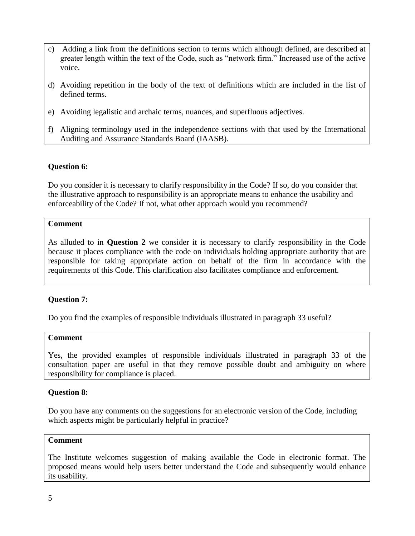- c) Adding a link from the definitions section to terms which although defined, are described at greater length within the text of the Code, such as "network firm." Increased use of the active voice.
- d) Avoiding repetition in the body of the text of definitions which are included in the list of defined terms.
- e) Avoiding legalistic and archaic terms, nuances, and superfluous adjectives.
- f) Aligning terminology used in the independence sections with that used by the International Auditing and Assurance Standards Board (IAASB).

### **Question 6:**

Do you consider it is necessary to clarify responsibility in the Code? If so, do you consider that the illustrative approach to responsibility is an appropriate means to enhance the usability and enforceability of the Code? If not, what other approach would you recommend?

#### **Comment**

As alluded to in **Question 2** we consider it is necessary to clarify responsibility in the Code because it places compliance with the code on individuals holding appropriate authority that are responsible for taking appropriate action on behalf of the firm in accordance with the requirements of this Code. This clarification also facilitates compliance and enforcement.

#### **Question 7:**

Do you find the examples of responsible individuals illustrated in paragraph 33 useful?

#### **Comment**

Yes, the provided examples of responsible individuals illustrated in paragraph 33 of the consultation paper are useful in that they remove possible doubt and ambiguity on where responsibility for compliance is placed.

#### **Question 8:**

Do you have any comments on the suggestions for an electronic version of the Code, including which aspects might be particularly helpful in practice?

#### **Comment**

The Institute welcomes suggestion of making available the Code in electronic format. The proposed means would help users better understand the Code and subsequently would enhance its usability.